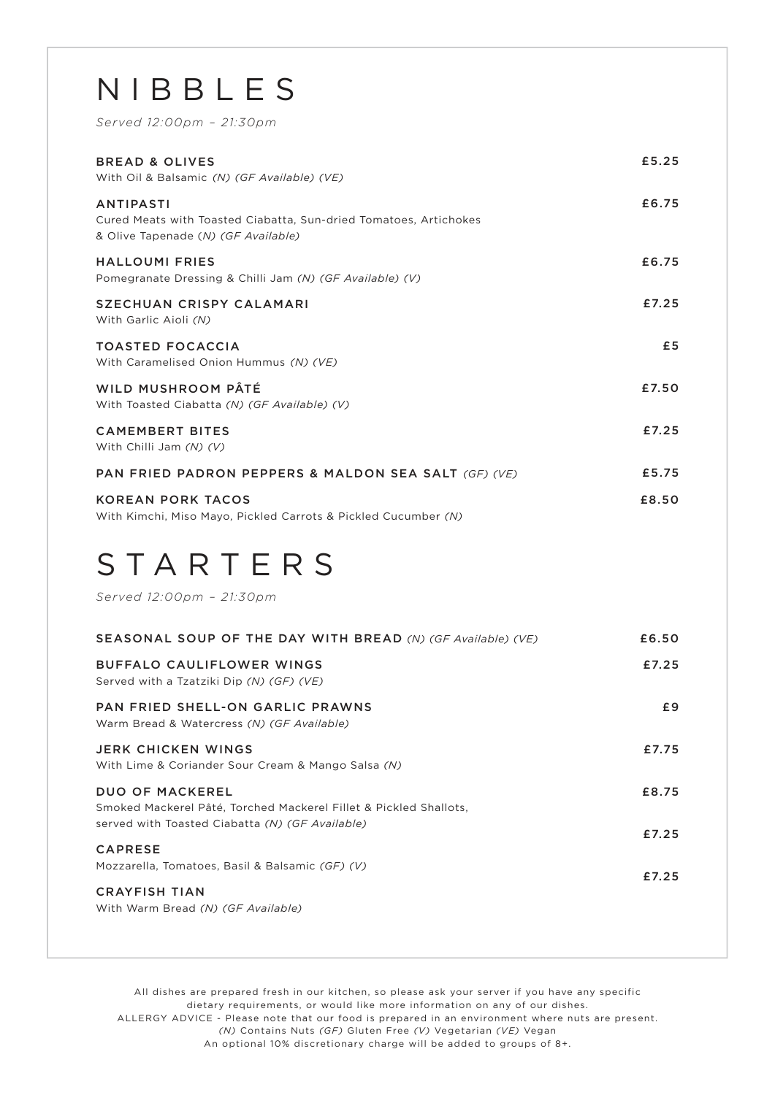#### NIBBLES

*Served 12:00pm – 21:30pm*

| <b>BREAD &amp; OLIVES</b><br>With Oil & Balsamic (N) (GF Available) (VE)                                                     | £5.25 |
|------------------------------------------------------------------------------------------------------------------------------|-------|
| <b>ANTIPASTI</b><br>Cured Meats with Toasted Ciabatta, Sun-dried Tomatoes, Artichokes<br>& Olive Tapenade (N) (GF Available) | £6.75 |
| <b>HALLOUMI FRIES</b><br>Pomegranate Dressing & Chilli Jam (N) (GF Available) (V)                                            | £6.75 |
| <b>SZECHUAN CRISPY CALAMARI</b><br>With Garlic Aioli (N)                                                                     | £7.25 |
| <b>TOASTED FOCACCIA</b><br>With Caramelised Onion Hummus (N) (VE)                                                            | £5    |
| WILD MUSHROOM PÂTÉ<br>With Toasted Ciabatta (N) (GF Available) (V)                                                           | £7.50 |
| <b>CAMEMBERT BITES</b><br>With Chilli Jam (N) (V)                                                                            | £7.25 |
| PAN FRIED PADRON PEPPERS & MALDON SEA SALT (GF) (VE)                                                                         | £5.75 |
| <b>KOREAN PORK TACOS</b><br>With Kimchi, Miso Mayo, Pickled Carrots & Pickled Cucumber (N)                                   | £8.50 |

#### STARTERS

*Served 12:00pm – 21:30pm*

| SEASONAL SOUP OF THE DAY WITH BREAD (N) (GF Available) (VE)                                                                                    | £6.50 |
|------------------------------------------------------------------------------------------------------------------------------------------------|-------|
| <b>BUFFALO CAULIFLOWER WINGS</b><br>Served with a Tzatziki Dip (N) (GF) (VE)                                                                   | £7.25 |
| <b>PAN FRIED SHELL-ON GARLIC PRAWNS</b><br>Warm Bread & Watercress (N) (GF Available)                                                          | £9    |
| JERK CHICKEN WINGS<br>With Lime & Coriander Sour Cream & Mango Salsa (N)                                                                       | £7.75 |
| <b>DUO OF MACKEREL</b><br>Smoked Mackerel Pâté, Torched Mackerel Fillet & Pickled Shallots,<br>served with Toasted Ciabatta (N) (GF Available) | £8.75 |
| <b>CAPRESE</b>                                                                                                                                 | £7.25 |
| Mozzarella, Tomatoes, Basil & Balsamic (GF) (V)                                                                                                | £7.25 |
| <b>CRAYFISH TIAN</b><br>With Warm Bread (N) (GF Available)                                                                                     |       |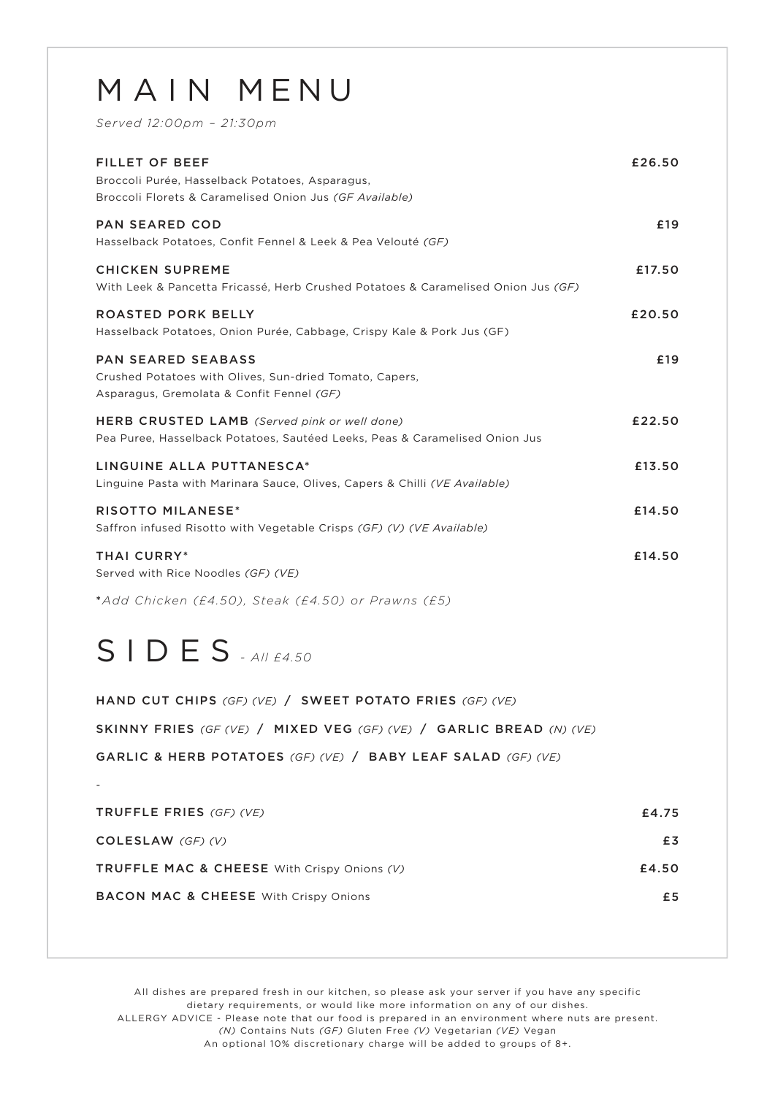### MAIN MENU

*Served 12:00pm – 21:30pm*

| <b>FILLET OF BEEF</b><br>Broccoli Purée, Hasselback Potatoes, Asparagus,<br>Broccoli Florets & Caramelised Onion Jus (GF Available) | £26.50 |
|-------------------------------------------------------------------------------------------------------------------------------------|--------|
| <b>PAN SEARED COD</b><br>Hasselback Potatoes, Confit Fennel & Leek & Pea Velouté (GF)                                               | £19    |
| <b>CHICKEN SUPREME</b><br>With Leek & Pancetta Fricassé, Herb Crushed Potatoes & Caramelised Onion Jus (GF)                         | £17.50 |
| ROASTED PORK BELLY<br>Hasselback Potatoes, Onion Purée, Cabbage, Crispy Kale & Pork Jus (GF)                                        | £20.50 |
| <b>PAN SEARED SEABASS</b><br>Crushed Potatoes with Olives, Sun-dried Tomato, Capers,<br>Asparagus, Gremolata & Confit Fennel (GF)   | £19    |
| <b>HERB CRUSTED LAMB</b> (Served pink or well done)<br>Pea Puree, Hasselback Potatoes, Sautéed Leeks, Peas & Caramelised Onion Jus  | £22.50 |
| LINGUINE ALLA PUTTANESCA*<br>Linguine Pasta with Marinara Sauce, Olives, Capers & Chilli (VE Available)                             | £13.50 |
| <b>RISOTTO MILANESE*</b><br>Saffron infused Risotto with Vegetable Crisps (GF) (V) (VE Available)                                   | £14.50 |
| <b>THAI CURRY*</b><br>Served with Rice Noodles (GF) (VE)                                                                            | £14.50 |
| *Add Chicken (£4.50), Steak (£4.50) or Prawns (£5)                                                                                  |        |

#### SIDES *- All £4.50*

| HAND CUT CHIPS (GF) (VE) / SWEET POTATO FRIES (GF) (VE)             |       |
|---------------------------------------------------------------------|-------|
| SKINNY FRIES (GF (VE) / MIXED VEG (GF) (VE) / GARLIC BREAD (N) (VE) |       |
| GARLIC & HERB POTATOES (GF) (VE) / BABY LEAF SALAD (GF) (VE)        |       |
|                                                                     |       |
| <b>TRUFFLE FRIES</b> (GF) (VE)                                      | £4.75 |
| COLESLAW $(GF)$ (V)                                                 | £3    |
| TRUFFLE MAC & CHEESE With Crispy Onions (V)                         | £4.50 |
| <b>BACON MAC &amp; CHEESE</b> With Crispy Onions                    | £5    |
|                                                                     |       |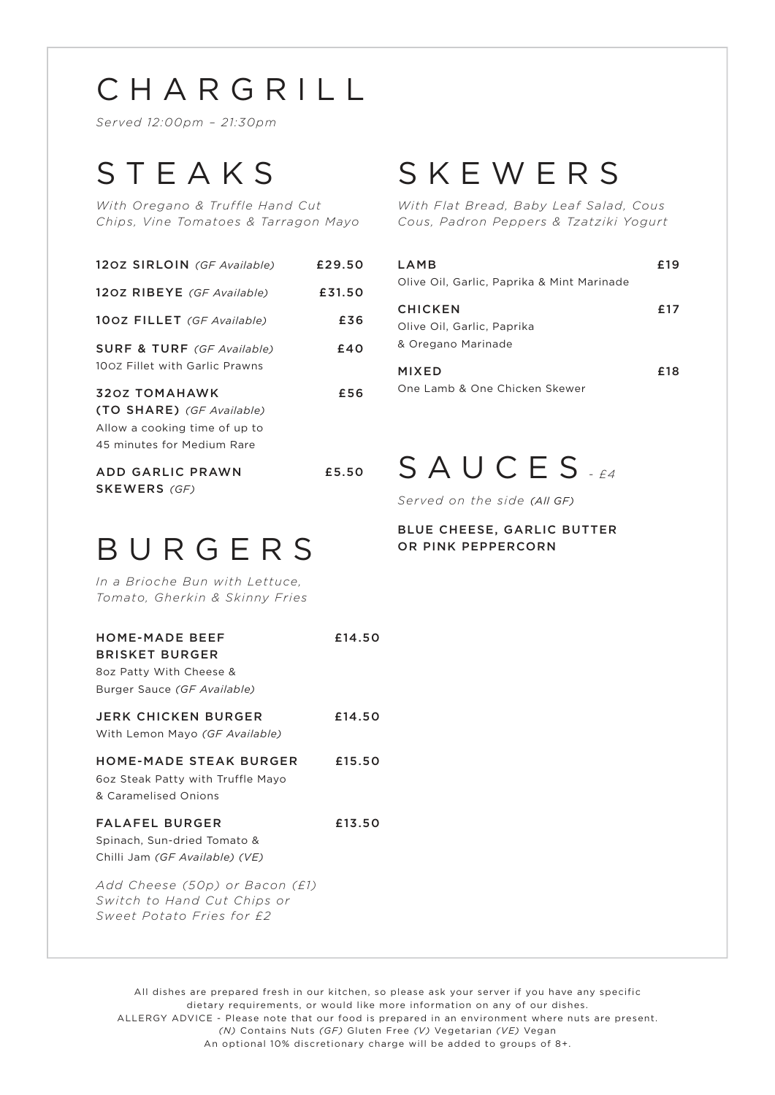## CHARGRILL

*Served 12:00pm – 21:30pm*

## STEAKS

*With Oregano & Truffle Hand Cut Chips, Vine Tomatoes & Tarragon Mayo*

| 120Z SIRLOIN (GF Available)                                                                                      | £29.50 |
|------------------------------------------------------------------------------------------------------------------|--------|
| 120Z RIBEYE (GF Available)                                                                                       | £31.50 |
| 100Z FILLET (GF Available)                                                                                       | £36    |
| <b>SURF &amp; TURF</b> (GF Available)<br>100Z Fillet with Garlic Prawns                                          | £40    |
| <b>320Z TOMAHAWK</b><br>(TO SHARE) (GF Available)<br>Allow a cooking time of up to<br>45 minutes for Medium Rare | £56    |
| ADD GARLIC PRAWN                                                                                                 | £5.50  |

### SKEWERS

*With Flat Bread, Baby Leaf Salad, Cous Cous, Padron Peppers & Tzatziki Yogurt*

| LAMB<br>Olive Oil, Garlic, Paprika & Mint Marinade                 | + 19 |
|--------------------------------------------------------------------|------|
| <b>CHICKEN</b><br>Olive Oil, Garlic, Paprika<br>& Oregano Marinade | £17  |
| MIXED<br>One Lamb & One Chicken Skewer                             | £18  |

# BURGERS

*In a Brioche Bun with Lettuce, Tomato, Gherkin & Skinny Fries*

SKEWERS *(GF)*

| <b>HOME-MADE BEEF</b><br><b>BRISKET BURGER</b><br>8oz Patty With Cheese &<br>Burger Sauce (GF Available) | £14.50 |
|----------------------------------------------------------------------------------------------------------|--------|
| <b>JERK CHICKEN BURGER</b><br>With Lemon Mayo (GF Available)                                             | £14.50 |
| HOME-MADE STEAK BURGER<br>602 Steak Patty with Truffle Mayo<br>& Caramelised Onions                      | £15.50 |
| <b>FALAFEL BURGER</b><br>Spinach, Sun-dried Tomato &<br>Chilli Jam (GF Available) (VE)                   | £13.50 |
| Add Cheese (50p) or Bacon (£1)<br>Switch to Hand Cut Chips or<br>Sweet Potato Fries for £2               |        |

### £5.50 SAUCES *- £4*

*Served on the side (All GF)*

#### BLUE CHEESE, GARLIC BUTTER OR PINK PEPPERCORN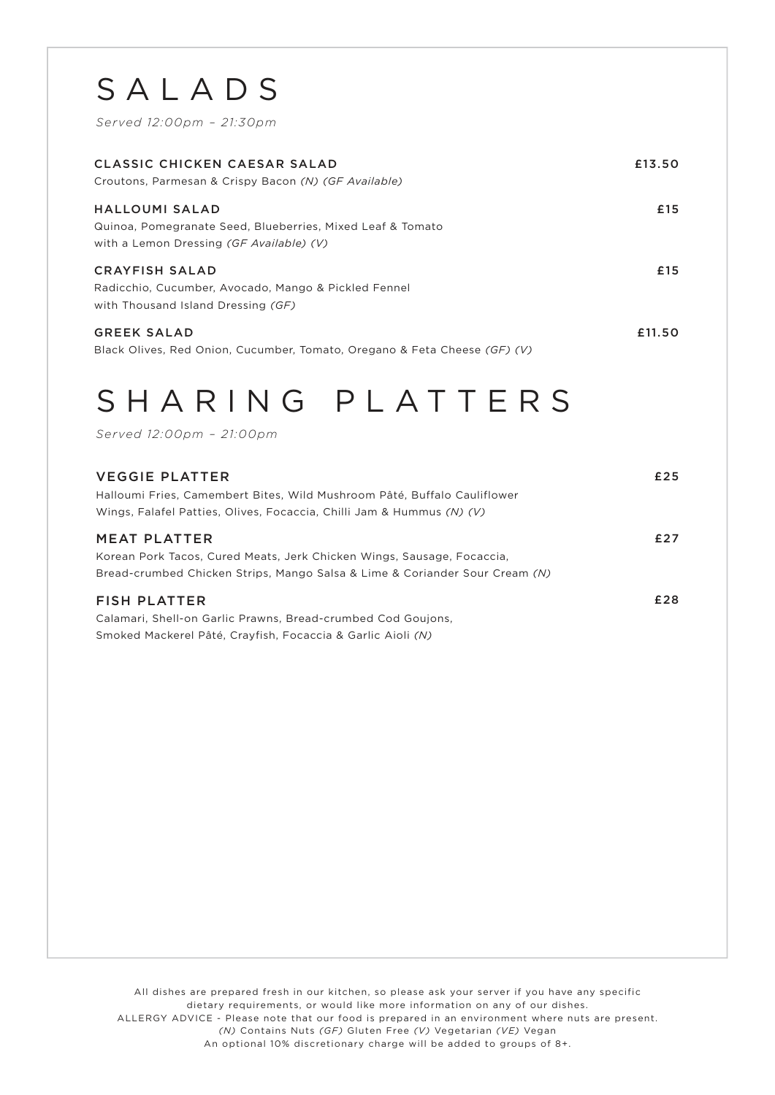## SALADS

*Served 12:00pm – 21:30pm*

| CLASSIC CHICKEN CAESAR SALAD<br>Croutons, Parmesan & Crispy Bacon (N) (GF Available)                                     | £13.50 |
|--------------------------------------------------------------------------------------------------------------------------|--------|
| HALLOUMI SALAD<br>Quinoa, Pomegranate Seed, Blueberries, Mixed Leaf & Tomato<br>with a Lemon Dressing (GF Available) (V) | £15    |
| <b>CRAYFISH SALAD</b><br>Radicchio, Cucumber, Avocado, Mango & Pickled Fennel<br>with Thousand Island Dressing (GF)      | £15    |
| <b>GREEK SALAD</b><br>Black Olives, Red Onion, Cucumber, Tomato, Oregano & Feta Cheese (GF) (V)                          | £11.50 |

## SHARING PLATTERS

*Served 12:00pm – 21:00pm*

| <b>VEGGIE PLATTER</b><br>Halloumi Fries, Camembert Bites, Wild Mushroom Pâté, Buffalo Cauliflower<br>Wings, Falafel Patties, Olives, Focaccia, Chilli Jam & Hummus (N) (V)   | £25 |
|------------------------------------------------------------------------------------------------------------------------------------------------------------------------------|-----|
| <b>MEAT PLATTER</b><br>Korean Pork Tacos, Cured Meats, Jerk Chicken Wings, Sausage, Focaccia,<br>Bread-crumbed Chicken Strips, Mango Salsa & Lime & Coriander Sour Cream (N) | £27 |
| <b>FISH PLATTER</b><br>Calamari, Shell-on Garlic Prawns, Bread-crumbed Cod Goujons,<br>Smoked Mackerel Pâté, Crayfish, Focaccia & Garlic Aioli (N)                           | £28 |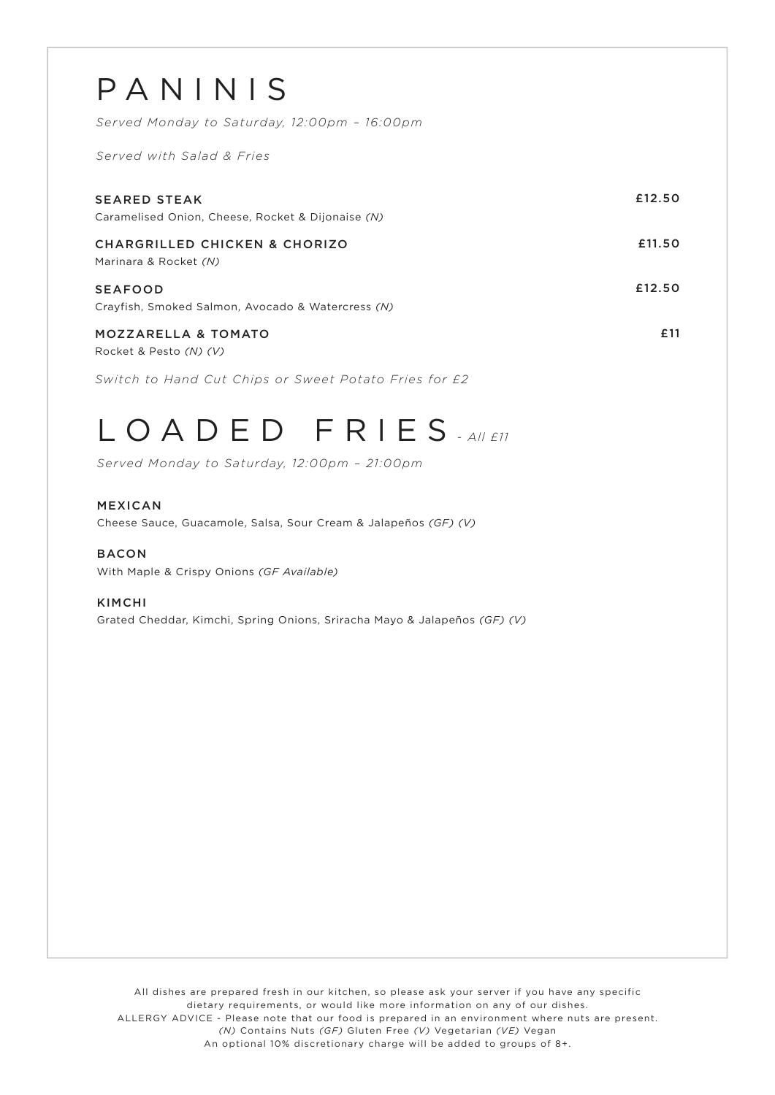| PANINIS<br>Served Monday to Saturday, 12:00pm - 16:00pm<br>Served with Salad & Fries |        |
|--------------------------------------------------------------------------------------|--------|
| <b>SEARED STEAK</b><br>Caramelised Onion, Cheese, Rocket & Dijonaise (N)             | £12.50 |
| <b>CHARGRILLED CHICKEN &amp; CHORIZO</b><br>Marinara & Rocket (N)                    | £11.50 |
| <b>SEAFOOD</b><br>Crayfish, Smoked Salmon, Avocado & Watercress (N)                  | £12.50 |
| <b>MOZZARELLA &amp; TOMATO</b><br>Rocket & Pesto (N) (V)                             | £11    |
| Switch to Hand Cut Chips or Sweet Potato Fries for £2                                |        |

## LOADED FRIES *- All £11*

*Served Monday to Saturday, 12:00pm – 21:00pm*

#### MEXICAN

Cheese Sauce, Guacamole, Salsa, Sour Cream & Jalapeños *(GF) (V)*

BACON With Maple & Crispy Onions *(GF Available)*

#### KIMCHI

Grated Cheddar, Kimchi, Spring Onions, Sriracha Mayo & Jalapeños *(GF) (V)*